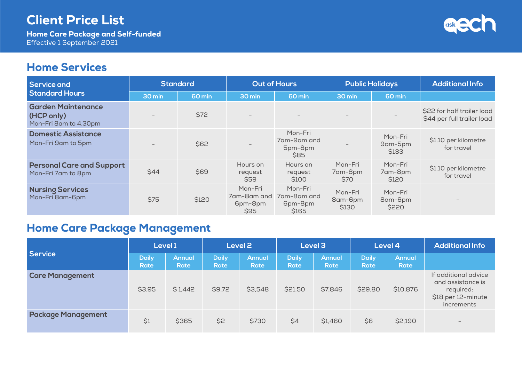Home Care Package and Self-funded Effective 1 September 2021

# ask

#### Home Services

| <b>Service and</b>                                               | <b>Standard</b> |        | <b>Out of Hours</b>                       |                                            | <b>Public Holidays</b>      |                             | <b>Additional Info</b>                                   |
|------------------------------------------------------------------|-----------------|--------|-------------------------------------------|--------------------------------------------|-----------------------------|-----------------------------|----------------------------------------------------------|
| <b>Standard Hours</b>                                            | 30 min          | 60 min | 30 min                                    | 60 min                                     | 30 min                      | 60 min                      |                                                          |
| <b>Garden Maintenance</b><br>(HCP only)<br>Mon-Fri 8am to 4.30pm |                 | \$72   |                                           | $\overline{\phantom{0}}$                   |                             |                             | \$22 for half trailer load<br>\$44 per full trailer load |
| <b>Domestic Assistance</b><br>Mon-Fri 9am to 5pm                 |                 | \$62   |                                           | Mon-Fri<br>7am-9am and<br>5pm-8pm<br>\$85  | $\overline{\phantom{0}}$    | Mon-Fri<br>9am-5pm<br>\$133 | \$1.10 per kilometre<br>for travel                       |
| <b>Personal Care and Support</b><br>Mon-Fri 7am to 8pm           | \$44            | \$69   | Hours on<br>request<br>\$59               | Hours on<br>request<br>S <sub>100</sub>    | Mon-Fri<br>7am-8pm<br>S70   | Mon-Fri<br>7am-8pm<br>\$120 | \$1.10 per kilometre<br>for travel                       |
| <b>Nursing Services</b><br>Mon-Fri 8am-6pm                       | \$75            | \$120  | Mon-Fri<br>7am-8am and<br>6pm-8pm<br>\$95 | Mon-Fri<br>7am-8am and<br>6pm-8pm<br>\$165 | Mon-Fri<br>8am-6pm<br>\$130 | Mon-Fri<br>8am-6pm<br>\$220 |                                                          |

# Home Care Package Management

|                           | Level 1              |                       | Level <sub>2</sub>   |                              | Level 3                     |                              | Level 4                     |                       | <b>Additional Info</b>                                                                     |
|---------------------------|----------------------|-----------------------|----------------------|------------------------------|-----------------------------|------------------------------|-----------------------------|-----------------------|--------------------------------------------------------------------------------------------|
| <b>Service</b>            | <b>Daily</b><br>Rate | <b>Annual</b><br>Rate | <b>Daily</b><br>Rate | <b>Annual</b><br><b>Rate</b> | <b>Daily</b><br><b>Rate</b> | <b>Annual</b><br><b>Rate</b> | <b>Daily</b><br><b>Rate</b> | <b>Annual</b><br>Rate |                                                                                            |
| <b>Care Management</b>    | \$3.95               | \$1,442               | \$9.72               | \$3,548                      | \$21.50                     | \$7,846                      | \$29.80                     | \$10,876              | If additional advice<br>and assistance is<br>required:<br>\$18 per 12-minute<br>increments |
| <b>Package Management</b> | \$1                  | \$365                 | \$2                  | \$730                        | \$4                         | \$1,460                      | \$6                         | \$2,190               | $\overline{\phantom{a}}$                                                                   |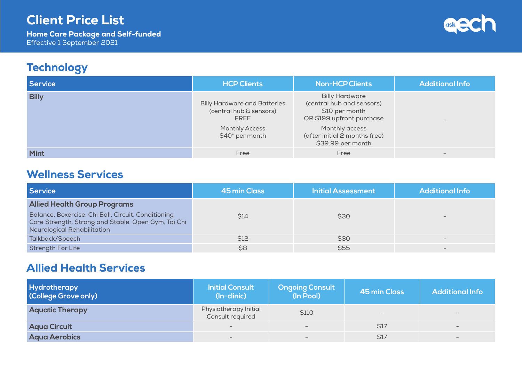Home Care Package and Self-funded Effective 1 September 2021



### **Technology**

| <b>Service</b> | <b>HCP Clients</b>                                                                                                 | <b>Non-HCP Clients</b>                                                                                                                                                    | <b>Additional Info</b>   |
|----------------|--------------------------------------------------------------------------------------------------------------------|---------------------------------------------------------------------------------------------------------------------------------------------------------------------------|--------------------------|
| <b>Billy</b>   | <b>Billy Hardware and Batteries</b><br>(central hub & sensors)<br>FREE<br><b>Monthly Access</b><br>\$40* per month | <b>Billy Hardware</b><br>(central hub and sensors)<br>\$10 per month<br>OR \$199 upfront purchase<br>Monthly access<br>(after initial 2 months free)<br>\$39.99 per month | $\overline{\phantom{a}}$ |
| <b>Mint</b>    | Free                                                                                                               | Free                                                                                                                                                                      | $\qquad \qquad$          |

#### Wellness Services

| <b>Service</b>                                                                                                                            | <b>45 min Class</b> | <b>Initial Assessment</b> | <b>Additional Info</b> |
|-------------------------------------------------------------------------------------------------------------------------------------------|---------------------|---------------------------|------------------------|
| <b>Allied Health Group Programs</b>                                                                                                       |                     |                           |                        |
| Balance, Boxercise, Chi Ball, Circuit, Conditioning<br>Core Strength, Strong and Stable, Open Gym, Tai Chi<br>Neurological Rehabilitation | \$14                | \$30                      |                        |
| Talkback/Speech                                                                                                                           | \$12                | \$30                      |                        |
| <b>Strength For Life</b>                                                                                                                  | \$8                 | \$55                      |                        |

#### Allied Health Services

| <b>Hydrotherapy</b><br>(College Grove only) | <b>Initial Consult</b><br>(In-clinic)     | <b>Ongoing Consult</b><br>(In Pool) | <b>45 min Class</b>      | <b>Additional Info</b> |
|---------------------------------------------|-------------------------------------------|-------------------------------------|--------------------------|------------------------|
| <b>Aquatic Therapy</b>                      | Physiotherapy Initial<br>Consult required | \$110                               | $\overline{\phantom{0}}$ |                        |
| <b>Aqua Circuit</b>                         | $\overline{\phantom{0}}$                  | $-$                                 | \$17                     | $\qquad \qquad -$      |
| <b>Aqua Aerobics</b>                        | $\hspace{0.1mm}-\hspace{0.1mm}$           | $\hspace{0.1mm}-\hspace{0.1mm}$     | \$17                     |                        |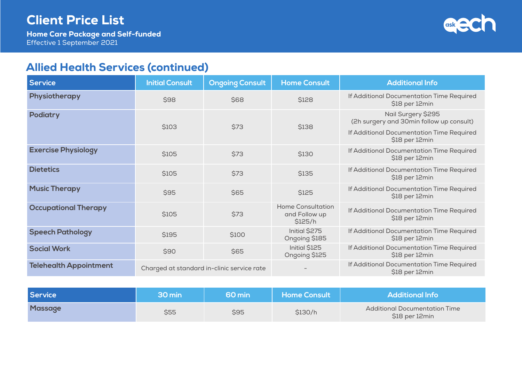Home Care Package and Self-funded Effective 1 September 2021



## Allied Health Services (continued)

| <b>Service</b>                | <b>Initial Consult</b>                     | <b>Ongoing Consult</b> | <b>Home Consult</b>                                  | <b>Additional Info</b>                                         |
|-------------------------------|--------------------------------------------|------------------------|------------------------------------------------------|----------------------------------------------------------------|
| Physiotherapy                 | \$98                                       | \$68                   | \$128                                                | If Additional Documentation Time Required<br>\$18 per 12min    |
| <b>Podiatry</b>               | \$103                                      | \$73                   | \$138                                                | Nail Surgery \$295<br>(2h surgery and 30min follow up consult) |
|                               |                                            |                        |                                                      | If Additional Documentation Time Required<br>\$18 per 12min    |
| <b>Exercise Physiology</b>    | \$105                                      | \$73                   | \$130                                                | If Additional Documentation Time Required<br>\$18 per 12min    |
| <b>Dietetics</b>              | \$105                                      | \$73                   | \$135                                                | If Additional Documentation Time Required<br>\$18 per 12min    |
| <b>Music Therapy</b>          | \$95                                       | \$65                   | \$125                                                | If Additional Documentation Time Required<br>\$18 per 12min    |
| <b>Occupational Therapy</b>   | \$105                                      | \$73                   | <b>Home Consultation</b><br>and Follow up<br>\$125/h | If Additional Documentation Time Required<br>\$18 per 12min    |
| <b>Speech Pathology</b>       | \$195                                      | \$100                  | Initial \$275<br>Ongoing \$185                       | If Additional Documentation Time Required<br>\$18 per 12min    |
| <b>Social Work</b>            | \$90                                       | \$65                   | Initial \$125<br>Ongoing \$125                       | If Additional Documentation Time Required<br>\$18 per 12min    |
| <b>Telehealth Appointment</b> | Charged at standard in-clinic service rate |                        |                                                      | If Additional Documentation Time Required<br>\$18 per 12min    |

| <b>Service</b> | 30 min | ا 60 min | <b>Home Consult</b> | Additional Info                                        |
|----------------|--------|----------|---------------------|--------------------------------------------------------|
| <b>Massage</b> | \$55   | \$95     | \$130/h             | <b>Additional Documentation Time</b><br>\$18 per 12min |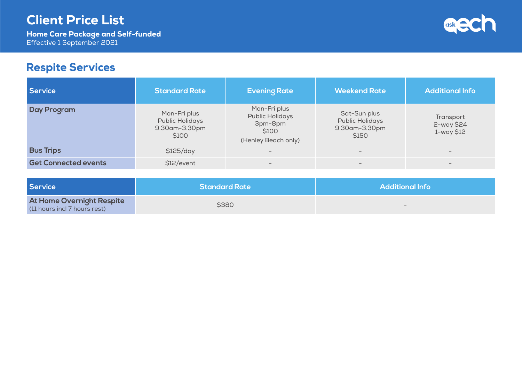Home Care Package and Self-funded Effective 1 September 2021



## Respite Services

| Service                     | <b>Standard Rate</b>                                             | <b>Evening Rate</b>                                                        | <b>Weekend Rate</b>                                              | <b>Additional Info</b>                |
|-----------------------------|------------------------------------------------------------------|----------------------------------------------------------------------------|------------------------------------------------------------------|---------------------------------------|
| <b>Day Program</b>          | Mon-Fri plus<br><b>Public Holidays</b><br>9.30am-3.30pm<br>\$100 | Mon-Fri plus<br>Public Holidays<br>3pm-8pm<br>\$100<br>(Henley Beach only) | Sat-Sun plus<br><b>Public Holidays</b><br>9.30am-3.30pm<br>\$150 | Transport<br>2-way \$24<br>1-way \$12 |
| <b>Bus Trips</b>            | \$125/day                                                        | $-$                                                                        | $\qquad \qquad$                                                  | $\qquad \qquad -$                     |
| <b>Get Connected events</b> | \$12/event                                                       |                                                                            | $\qquad \qquad$                                                  | $\qquad \qquad -$                     |

| <b>Service</b>                                            | <b>Standard Rate</b> | <b>Additional Info</b>   |
|-----------------------------------------------------------|----------------------|--------------------------|
| At Home Overnight Respite<br>(11 hours incl 7 hours rest) | \$380                | $\overline{\phantom{0}}$ |